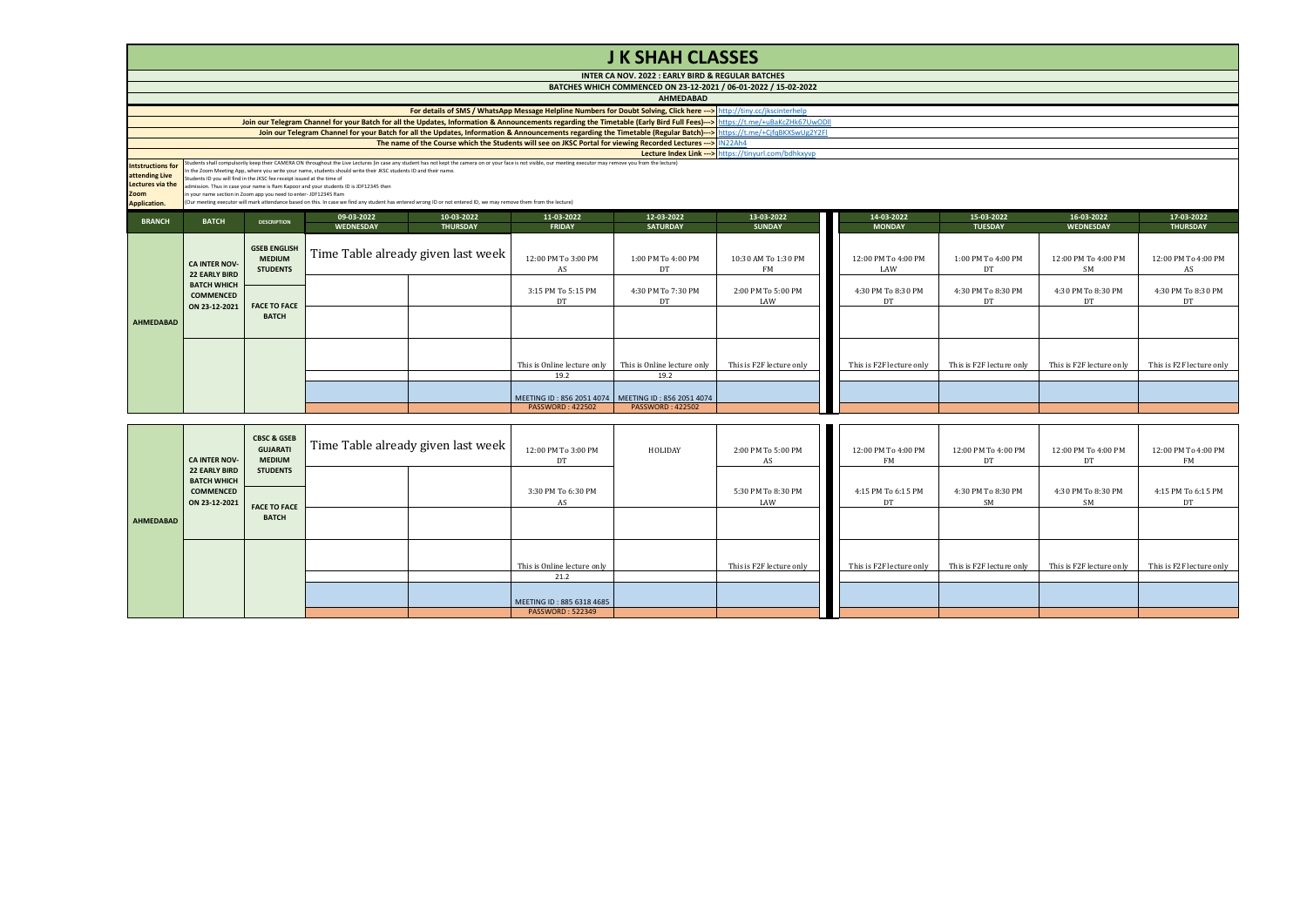|                                                                                                      | <b>J K SHAH CLASSES</b>                                                                                                                                                                                                                                                                                                                                                                                                                                                                                                      |                                                         |                  |                                    |                                                      |                                                                 |                                  |                            |                          |                                  |                           |  |  |  |
|------------------------------------------------------------------------------------------------------|------------------------------------------------------------------------------------------------------------------------------------------------------------------------------------------------------------------------------------------------------------------------------------------------------------------------------------------------------------------------------------------------------------------------------------------------------------------------------------------------------------------------------|---------------------------------------------------------|------------------|------------------------------------|------------------------------------------------------|-----------------------------------------------------------------|----------------------------------|----------------------------|--------------------------|----------------------------------|---------------------------|--|--|--|
|                                                                                                      |                                                                                                                                                                                                                                                                                                                                                                                                                                                                                                                              |                                                         |                  |                                    |                                                      | INTER CA NOV. 2022 : EARLY BIRD & REGULAR BATCHES               |                                  |                            |                          |                                  |                           |  |  |  |
|                                                                                                      |                                                                                                                                                                                                                                                                                                                                                                                                                                                                                                                              |                                                         |                  |                                    |                                                      | BATCHES WHICH COMMENCED ON 23-12-2021 / 06-01-2022 / 15-02-2022 |                                  |                            |                          |                                  |                           |  |  |  |
|                                                                                                      | <b>AHMEDABAD</b>                                                                                                                                                                                                                                                                                                                                                                                                                                                                                                             |                                                         |                  |                                    |                                                      |                                                                 |                                  |                            |                          |                                  |                           |  |  |  |
|                                                                                                      | For details of SMS / WhatsApp Message Helpline Numbers for Doubt Solving, Click here ---> http://tiny.cc/jkscinterhelp                                                                                                                                                                                                                                                                                                                                                                                                       |                                                         |                  |                                    |                                                      |                                                                 |                                  |                            |                          |                                  |                           |  |  |  |
|                                                                                                      | Join our Telegram Channel for your Batch for all the Updates, Information & Announcements regarding the Timetable (Early Bird Full Fees)---> https://t.me/+uBaKcZHk67UwODII                                                                                                                                                                                                                                                                                                                                                  |                                                         |                  |                                    |                                                      |                                                                 |                                  |                            |                          |                                  |                           |  |  |  |
|                                                                                                      | Join our Telegram Channel for your Batch for all the Updates, Information & Announcements regarding the Timetable (Regular Batch)---> https://t.me/+CjfqBKXSwUg2Y2FI                                                                                                                                                                                                                                                                                                                                                         |                                                         |                  |                                    |                                                      |                                                                 |                                  |                            |                          |                                  |                           |  |  |  |
|                                                                                                      | The name of the Course which the Students will see on JKSC Portal for viewing Recorded Lectures --->   IN22Ah4                                                                                                                                                                                                                                                                                                                                                                                                               |                                                         |                  |                                    |                                                      |                                                                 |                                  |                            |                          |                                  |                           |  |  |  |
|                                                                                                      | Lecture Index Link --> https://tinvurl.com/bdhkxyyp<br>Students shall compulsorlly keep their CAMERA ON throughout the Live Lectures (in case any student has not kept the camera on or your face is not visible, our meeting executor may remove you from the lecture)                                                                                                                                                                                                                                                      |                                                         |                  |                                    |                                                      |                                                                 |                                  |                            |                          |                                  |                           |  |  |  |
| <b>Intstructions for</b><br>attending Live<br><b>Lectures via the</b><br>Zoom<br><b>Application.</b> | n the Zoom Meeting App, where you write your name, students should write their JKSC students ID and their name.<br>Students ID you will find in the JKSC fee receipt issued at the time of<br>admission. Thus in case your name is Ram Kapoor and your students ID is JDF12345 then<br>n your name section in Zoom app you need to enter- JDF12345 Ram<br>(Our meeting executor will mark attendance based on this. In case we find any student has entered wrong ID or not entered ID, we may remove them from the lecture) |                                                         |                  |                                    |                                                      |                                                                 |                                  |                            |                          |                                  |                           |  |  |  |
|                                                                                                      |                                                                                                                                                                                                                                                                                                                                                                                                                                                                                                                              |                                                         | 09-03-2022       | 10-03-2022                         | 11-03-2022                                           | 12-03-2022                                                      | 13-03-2022                       | 14-03-2022                 | 15-03-2022               | 16-03-2022                       | 17-03-2022                |  |  |  |
| <b>BRANCH</b>                                                                                        | <b>BATCH</b>                                                                                                                                                                                                                                                                                                                                                                                                                                                                                                                 | <b>DESCRIPTION</b>                                      | <b>WEDNESDAY</b> | <b>THURSDAY</b>                    | <b>FRIDAY</b>                                        | <b>SATURDAY</b>                                                 | <b>SUNDAY</b>                    | <b>MONDAY</b>              | <b>TUESDAY</b>           | <b>WEDNESDAY</b>                 | <b>THURSDAY</b>           |  |  |  |
|                                                                                                      | <b>CA INTER NOV-</b><br><b>22 EARLY BIRD</b>                                                                                                                                                                                                                                                                                                                                                                                                                                                                                 | <b>GSEB ENGLISH</b><br><b>MEDIUM</b><br><b>STUDENTS</b> |                  | Time Table already given last week | 12:00 PM To 3:00 PM<br>AS                            | 1:00 PM To 4:00 PM<br>DT                                        | 10:30 AM To 1:30 PM<br><b>FM</b> | 12:00 PM To 4:00 PM<br>LAW | 1:00 PM To 4:00 PM<br>DT | 12:00 PM To 4:00 PM<br><b>SM</b> | 12:00 PM To 4:00 PM<br>AS |  |  |  |
|                                                                                                      | <b>BATCH WHICH</b><br><b>COMMENCED</b><br>ON 23-12-2021                                                                                                                                                                                                                                                                                                                                                                                                                                                                      | <b>FACE TO FACE</b><br><b>BATCH</b>                     |                  |                                    | 3:15 PM To 5:15 PM<br>DT                             | 4:30 PM To 7:30 PM<br>DT                                        | 2:00 PM To 5:00 PM<br>LAW        | 4:30 PM To 8:30 PM<br>DT   | 4:30 PM To 8:30 PM<br>DT | 4:30 PM To 8:30 PM<br>DT         | 4:30 PM To 8:30 PM<br>DT  |  |  |  |
| <b>AHMEDABAD</b>                                                                                     |                                                                                                                                                                                                                                                                                                                                                                                                                                                                                                                              |                                                         |                  |                                    |                                                      |                                                                 |                                  |                            |                          |                                  |                           |  |  |  |
|                                                                                                      |                                                                                                                                                                                                                                                                                                                                                                                                                                                                                                                              |                                                         |                  |                                    | This is Online lecture only<br>19.2                  | This is Online lecture only<br>19.2                             | This is F2F lecture only         | This is F2F lecture only   | This is F2F lecture only | This is F2F lecture only         | This is F2F lecture only  |  |  |  |
|                                                                                                      |                                                                                                                                                                                                                                                                                                                                                                                                                                                                                                                              |                                                         |                  |                                    |                                                      |                                                                 |                                  |                            |                          |                                  |                           |  |  |  |
|                                                                                                      |                                                                                                                                                                                                                                                                                                                                                                                                                                                                                                                              |                                                         |                  |                                    | MEETING ID: 856 2051 4074<br><b>PASSWORD: 422502</b> | MEETING ID: 856 2051 4074<br><b>PASSWORD: 422502</b>            |                                  |                            |                          |                                  |                           |  |  |  |
|                                                                                                      |                                                                                                                                                                                                                                                                                                                                                                                                                                                                                                                              |                                                         |                  |                                    |                                                      |                                                                 |                                  |                            |                          |                                  |                           |  |  |  |
|                                                                                                      |                                                                                                                                                                                                                                                                                                                                                                                                                                                                                                                              | <b>CBSC &amp; GSEB</b><br><b>GUJARATI</b>               |                  | Time Table already given last week | 12:00 PM To 3:00 PM                                  | HOLIDAY                                                         | 2:00 PM To 5:00 PM               | 12:00 PM To 4:00 PM        | 12:00 PM To 4:00 PM      | 12:00 PM To 4:00 PM              | 12:00 PM To 4:00 PM       |  |  |  |

|           | <b>CBSC &amp; GSEB</b><br><b>GUJARATI</b><br><b>MEDIUM</b><br><b>CA INTER NOV-</b> |                                        | Time Table already given last week |  | 12:00 PM To 3:00 PM<br>DT   | HOLIDAY | 2:00 PM To 5:00 PM<br>AS  | 12:00 PM To 4:00 PM<br>FM | 12:00 PM To 4:00 PM<br>DT | 12:00 PM To 4:00 PM<br>DT | 12:00 PM To 4:00 PM<br>FM |
|-----------|------------------------------------------------------------------------------------|----------------------------------------|------------------------------------|--|-----------------------------|---------|---------------------------|---------------------------|---------------------------|---------------------------|---------------------------|
| AHMEDABAD | <b>22 EARLY BIRD</b><br><b>BATCH WHICH</b><br><b>COMMENCED</b><br>ON 23-12-2021    | <b>STUDENTS</b><br><b>FACE TO FACE</b> |                                    |  | 3:30 PM To 6:30 PM<br>AS    |         | 5:30 PM To 8:30 PM<br>LAW | 4:15 PM To 6:15 PM<br>DT  | 4:30 PM To 8:30 PM<br>SM  | 4:30 PM To 8:30 PM<br>SM  | 4:15 PM To 6:15 PM<br>DT  |
|           |                                                                                    | <b>BATCH</b>                           |                                    |  |                             |         |                           |                           |                           |                           |                           |
|           |                                                                                    |                                        |                                    |  | This is Online lecture only |         | This is F2F lecture only  | This is F2F lecture only  | This is F2F lecture only  | This is F2F lecture only  | This is F2F lecture only  |
|           |                                                                                    |                                        |                                    |  | 21.2                        |         |                           |                           |                           |                           |                           |
|           |                                                                                    |                                        |                                    |  | MEETING ID: 885 6318 4685   |         |                           |                           |                           |                           |                           |
|           |                                                                                    |                                        |                                    |  | <b>PASSWORD: 522349</b>     |         |                           |                           |                           |                           |                           |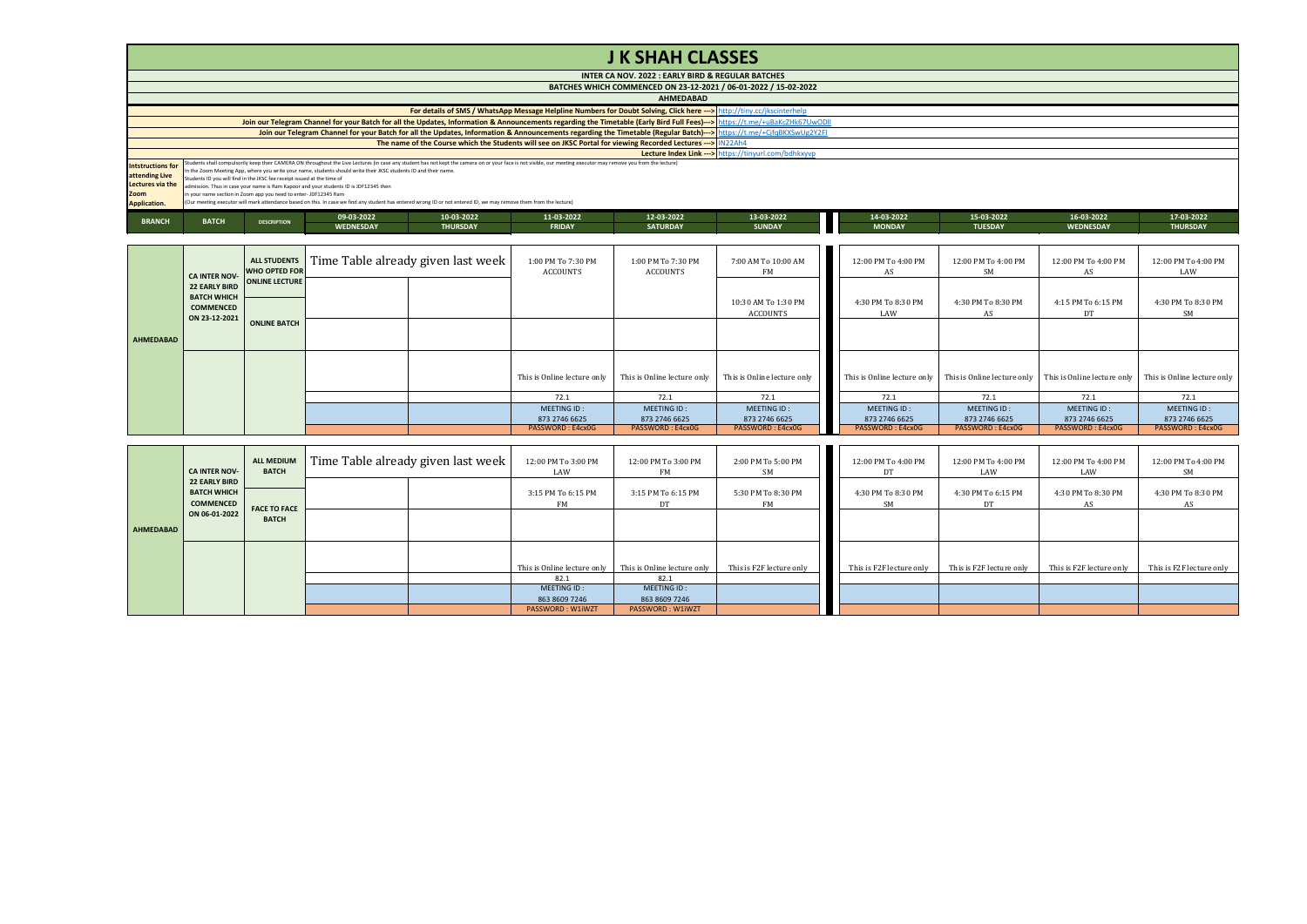## **J K SHAH CLASSES**

|                          | INTER CA NOV. 2022 : EARLY BIRD & REGULAR BATCHES                                                             |                    |                                                                                                                                                                    |                 |                                                                                                                                                                                                                  |                 |                                                                                                                                                                             |               |                |                  |                 |  |
|--------------------------|---------------------------------------------------------------------------------------------------------------|--------------------|--------------------------------------------------------------------------------------------------------------------------------------------------------------------|-----------------|------------------------------------------------------------------------------------------------------------------------------------------------------------------------------------------------------------------|-----------------|-----------------------------------------------------------------------------------------------------------------------------------------------------------------------------|---------------|----------------|------------------|-----------------|--|
|                          | BATCHES WHICH COMMENCED ON 23-12-2021 / 06-01-2022 / 15-02-2022                                               |                    |                                                                                                                                                                    |                 |                                                                                                                                                                                                                  |                 |                                                                                                                                                                             |               |                |                  |                 |  |
|                          | <b>AHMEDABAD</b>                                                                                              |                    |                                                                                                                                                                    |                 |                                                                                                                                                                                                                  |                 |                                                                                                                                                                             |               |                |                  |                 |  |
|                          |                                                                                                               |                    |                                                                                                                                                                    |                 | For details of SMS / WhatsApp Message Helpline Numbers for Doubt Solving, Click here ---> http://tiny.cc/jkscinterhelp                                                                                           |                 |                                                                                                                                                                             |               |                |                  |                 |  |
|                          |                                                                                                               |                    |                                                                                                                                                                    |                 |                                                                                                                                                                                                                  |                 | Join our Telegram Channel for your Batch for all the Updates, Information & Announcements regarding the Timetable (Early Bird Full Fees)---> https://t.me/+uBaKcZHk67UwODll |               |                |                  |                 |  |
|                          |                                                                                                               |                    |                                                                                                                                                                    |                 |                                                                                                                                                                                                                  |                 | Join our Telegram Channel for your Batch for all the Updates, Information & Announcements regarding the Timetable (Regular Batch)--> https://t.me/+CjfqBKXSwUg2Y2FI         |               |                |                  |                 |  |
|                          | The name of the Course which the Students will see on JKSC Portal for viewing Recorded Lectures --- > IN22Ah4 |                    |                                                                                                                                                                    |                 |                                                                                                                                                                                                                  |                 |                                                                                                                                                                             |               |                |                  |                 |  |
|                          |                                                                                                               |                    |                                                                                                                                                                    |                 |                                                                                                                                                                                                                  |                 | Lecture Index Link ---> https://tinyurl.com/bdhkxyvp                                                                                                                        |               |                |                  |                 |  |
| <b>Intstructions for</b> |                                                                                                               |                    |                                                                                                                                                                    |                 | Students shall compulsorlly keep their CAMERA ON throughout the Live Lectures (in case any student has not kept the camera on or your face is not visible, our meeting executor may remove you from the lecture) |                 |                                                                                                                                                                             |               |                |                  |                 |  |
| attending Live           |                                                                                                               |                    | In the Zoom Meeting App, where you write your name, students should write their JKSC students ID and their name.                                                   |                 |                                                                                                                                                                                                                  |                 |                                                                                                                                                                             |               |                |                  |                 |  |
| Lectures via the         | Students ID you will find in the JKSC fee receipt issued at the time of                                       |                    | admission. Thus in case your name is Ram Kappor and your students ID is JDF12345 then                                                                              |                 |                                                                                                                                                                                                                  |                 |                                                                                                                                                                             |               |                |                  |                 |  |
| Zoom                     | in your name section in Zoom app you need to enter- JDF12345 Ram                                              |                    |                                                                                                                                                                    |                 |                                                                                                                                                                                                                  |                 |                                                                                                                                                                             |               |                |                  |                 |  |
| <b>Application.</b>      |                                                                                                               |                    | (Our meeting executor will mark attendance based on this. In case we find any student has entered wrong ID or not entered ID, we may remove them from the lecture) |                 |                                                                                                                                                                                                                  |                 |                                                                                                                                                                             |               |                |                  |                 |  |
|                          |                                                                                                               |                    | 09-03-2022                                                                                                                                                         | 10-03-2022      | 11-03-2022                                                                                                                                                                                                       | 12-03-2022      | 13-03-2022                                                                                                                                                                  | 14-03-2022    | 15-03-2022     | 16-03-2022       | 17-03-2022      |  |
| <b>BRANCH</b>            | <b>BATCH</b>                                                                                                  | <b>DESCRIPTION</b> |                                                                                                                                                                    |                 |                                                                                                                                                                                                                  |                 |                                                                                                                                                                             |               |                |                  |                 |  |
|                          |                                                                                                               |                    | WEDNESDAY                                                                                                                                                          | <b>THURSDAY</b> | <b>FRIDAY</b>                                                                                                                                                                                                    | <b>SATURDAY</b> | <b>SUNDAY</b>                                                                                                                                                               | <b>MONDAY</b> | <b>TUESDAY</b> | <b>WEDNESDAY</b> | <b>THURSDAY</b> |  |

**WEDNESDAY THURSDAY FRIDAY SATURDAY SUNDAY MONDAY TUESDAY WEDNESDAY THURSDAY**

|                  | <b>CA INTER NOV-</b><br><b>22 EARLY BIRD</b>            | <b>ALL STUDENTS</b><br><b>WHO OPTED FOR</b><br>ONLINE LECTURE | Time Table already given last week | 1:00 PM To 7:30 PM<br>ACCOUNTS | 1:00 PM To 7:30 PM<br>ACCOUNTS | 7:00 AM To 10:00 AM<br>FM       | 12:00 PM To 4:00 PM<br>AS    | 12:00 PM To 4:00 PM<br>SM    | 12:00 PM To 4:00 PM<br>AS                                                           | 12:00 PM To 4:00 PM<br>LAW   |
|------------------|---------------------------------------------------------|---------------------------------------------------------------|------------------------------------|--------------------------------|--------------------------------|---------------------------------|------------------------------|------------------------------|-------------------------------------------------------------------------------------|------------------------------|
|                  | <b>BATCH WHICH</b><br><b>COMMENCED</b><br>ON 23-12-2021 | <b>ONLINE BATCH</b>                                           |                                    |                                |                                | 10:30 AM To 1:30 PM<br>ACCOUNTS | 4:30 PM To 8:30 PM<br>LAW    | 4:30 PM To 8:30 PM           | 4:15 PM To 6:15 PM<br>DT                                                            | 4:30 PM To 8:30 PM<br>SM     |
| <b>AHMEDABAD</b> |                                                         |                                                               |                                    |                                |                                |                                 |                              |                              |                                                                                     |                              |
|                  |                                                         |                                                               |                                    | This is Online lecture only    | This is Online lecture only    | This is Online lecture only     |                              |                              | This is Online lecture only This is Online lecture only This is Online lecture only | This is Online lecture only  |
|                  |                                                         |                                                               |                                    | 72.1                           | 72.1                           | 72.1                            | 72.1                         | 72.1                         | 72.1                                                                                | 72.1                         |
|                  |                                                         |                                                               |                                    | MEETING ID:<br>873 2746 6625   | MEETING ID:<br>873 2746 6625   | MEETING ID:<br>873 2746 6625    | MEETING ID:<br>873 2746 6625 | MEETING ID:<br>873 2746 6625 | MEETING ID:<br>873 2746 6625                                                        | MEETING ID:<br>873 2746 6625 |
|                  |                                                         |                                                               |                                    | PASSWORD: E4cx0G               | PASSWORD: E4cx0G               | PASSWORD: E4cx0G                | PASSWORD: E4cx0G             | PASSWORD: E4cx0G             | PASSWORD: E4cx0G                                                                    | PASSWORD: E4cx0G             |

|                  | CA INTER NOV-                                                  | <b>ALL MEDIUM</b><br><b>BATCH</b> | [ime Table already given last week ] | 12:00 PM To 3:00 PM<br>LAW      | 12:00 PM To 3:00 PM<br>FM    | 2:00 PM To 5:00 PM<br>SM | 12:00 PM To 4:00 PM<br>DT       | 12:00 PM To 4:00 PM<br>LAW | 12:00 PM To 4:00 PM<br>LAW | 12:00 PM To 4:00 PM<br>SM |
|------------------|----------------------------------------------------------------|-----------------------------------|--------------------------------------|---------------------------------|------------------------------|--------------------------|---------------------------------|----------------------------|----------------------------|---------------------------|
|                  | <b>22 EARLY BIRD</b><br><b>BATCH WHICH</b><br><b>COMMENCED</b> | <b>FACE TO FACE</b>               |                                      | 3:15 PM To 6:15 PM<br><b>FM</b> | 3:15 PM To 6:15 PM<br>DT     | 5:30 PM To 8:30 PM<br>FM | 4:30 PM To 8:30 PM<br><b>SM</b> | 4:30 PM To 6:15 PM<br>DT   | 4:30 PM To 8:30 PM<br>AS   | 4:30 PM To 8:30 PM<br>AS  |
| <b>AHMEDABAD</b> | ON 06-01-2022                                                  | <b>BATCH</b>                      |                                      |                                 |                              |                          |                                 |                            |                            |                           |
|                  |                                                                |                                   |                                      | This is Online lecture only     | This is Online lecture only  | This is F2F lecture only | This is F2F lecture only        | This is F2F lecture only   | This is F2F lecture only   | This is F2F lecture only  |
|                  |                                                                |                                   |                                      | 82.1                            | 82.1                         |                          |                                 |                            |                            |                           |
|                  |                                                                |                                   |                                      | MEETING ID:<br>863 8609 7246    | MEETING ID:<br>863 8609 7246 |                          |                                 |                            |                            |                           |
|                  |                                                                |                                   |                                      | PASSWORD: W1iWZT                | PASSWORD: W1iWZT             |                          |                                 |                            |                            |                           |